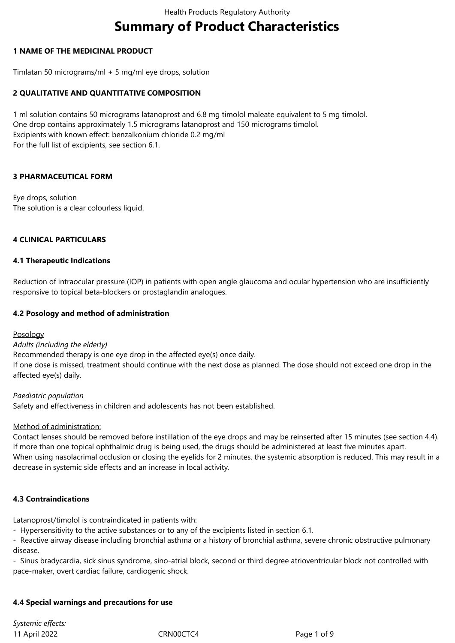# **Summary of Product Characteristics**

# **1 NAME OF THE MEDICINAL PRODUCT**

Timlatan 50 micrograms/ml + 5 mg/ml eye drops, solution

# **2 QUALITATIVE AND QUANTITATIVE COMPOSITION**

1 ml solution contains 50 micrograms latanoprost and 6.8 mg timolol maleate equivalent to 5 mg timolol. One drop contains approximately 1.5 micrograms latanoprost and 150 micrograms timolol. Excipients with known effect: benzalkonium chloride 0.2 mg/ml For the full list of excipients, see section 6.1.

# **3 PHARMACEUTICAL FORM**

Eye drops, solution The solution is a clear colourless liquid.

# **4 CLINICAL PARTICULARS**

# **4.1 Therapeutic Indications**

Reduction of intraocular pressure (IOP) in patients with open angle glaucoma and ocular hypertension who are insufficiently responsive to topical beta-blockers or prostaglandin analogues.

# **4.2 Posology and method of administration**

# Posology

*Adults (including the elderly)*

Recommended therapy is one eye drop in the affected eye(s) once daily. If one dose is missed, treatment should continue with the next dose as planned. The dose should not exceed one drop in the affected eye(s) daily.

*Paediatric population* Safety and effectiveness in children and adolescents has not been established.

# Method of administration:

Contact lenses should be removed before instillation of the eye drops and may be reinserted after 15 minutes (see section 4.4). If more than one topical ophthalmic drug is being used, the drugs should be administered at least five minutes apart. When using nasolacrimal occlusion or closing the eyelids for 2 minutes, the systemic absorption is reduced. This may result in a decrease in systemic side effects and an increase in local activity.

# **4.3 Contraindications**

Latanoprost/timolol is contraindicated in patients with:

- Hypersensitivity to the active substances or to any of the excipients listed in section 6.1.

- Reactive airway disease including bronchial asthma or a history of bronchial asthma, severe chronic obstructive pulmonary disease.

- Sinus bradycardia, sick sinus syndrome, sino-atrial block, second or third degree atrioventricular block not controlled with pace-maker, overt cardiac failure, cardiogenic shock.

# **4.4 Special warnings and precautions for use**

11 April 2022 CRN00CTC4 Page 1 of 9 *Systemic effects:*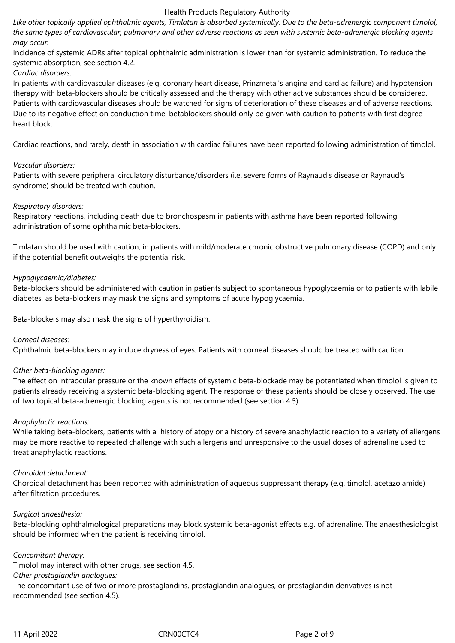*Like other topically applied ophthalmic agents, Timlatan is absorbed systemically. Due to the beta-adrenergic component timolol, the same types of cardiovascular, pulmonary and other adverse reactions as seen with systemic beta-adrenergic blocking agents may occur.* 

Incidence of systemic ADRs after topical ophthalmic administration is lower than for systemic administration. To reduce the systemic absorption, see section 4.2.

# *Cardiac disorders:*

In patients with cardiovascular diseases (e.g. coronary heart disease, Prinzmetal's angina and cardiac failure) and hypotension therapy with beta-blockers should be critically assessed and the therapy with other active substances should be considered. Patients with cardiovascular diseases should be watched for signs of deterioration of these diseases and of adverse reactions. Due to its negative effect on conduction time, betablockers should only be given with caution to patients with first degree heart block.

Cardiac reactions, and rarely, death in association with cardiac failures have been reported following administration of timolol.

# *Vascular disorders:*

Patients with severe peripheral circulatory disturbance/disorders (i.e. severe forms of Raynaud's disease or Raynaud's syndrome) should be treated with caution.

#### *Respiratory disorders:*

Respiratory reactions, including death due to bronchospasm in patients with asthma have been reported following administration of some ophthalmic beta-blockers.

Timlatan should be used with caution, in patients with mild/moderate chronic obstructive pulmonary disease (COPD) and only if the potential benefit outweighs the potential risk.

#### *Hypoglycaemia/diabetes:*

Beta-blockers should be administered with caution in patients subject to spontaneous hypoglycaemia or to patients with labile diabetes, as beta-blockers may mask the signs and symptoms of acute hypoglycaemia.

Beta-blockers may also mask the signs of hyperthyroidism.

# *Corneal diseases:*

Ophthalmic beta-blockers may induce dryness of eyes. Patients with corneal diseases should be treated with caution.

# *Other beta-blocking agents:*

The effect on intraocular pressure or the known effects of systemic beta-blockade may be potentiated when timolol is given to patients already receiving a systemic beta-blocking agent. The response of these patients should be closely observed. The use of two topical beta-adrenergic blocking agents is not recommended (see section 4.5).

#### *Anaphylactic reactions:*

While taking beta-blockers, patients with a history of atopy or a history of severe anaphylactic reaction to a variety of allergens may be more reactive to repeated challenge with such allergens and unresponsive to the usual doses of adrenaline used to treat anaphylactic reactions.

#### *Choroidal detachment:*

Choroidal detachment has been reported with administration of aqueous suppressant therapy (e.g. timolol, acetazolamide) after filtration procedures.

# *Surgical anaesthesia:*

Beta-blocking ophthalmological preparations may block systemic beta-agonist effects e.g. of adrenaline. The anaesthesiologist should be informed when the patient is receiving timolol.

*Concomitant therapy:* Timolol may interact with other drugs, see section 4.5. *Other prostaglandin analogues:* The concomitant use of two or more prostaglandins, prostaglandin analogues, or prostaglandin derivatives is not recommended (see section 4.5).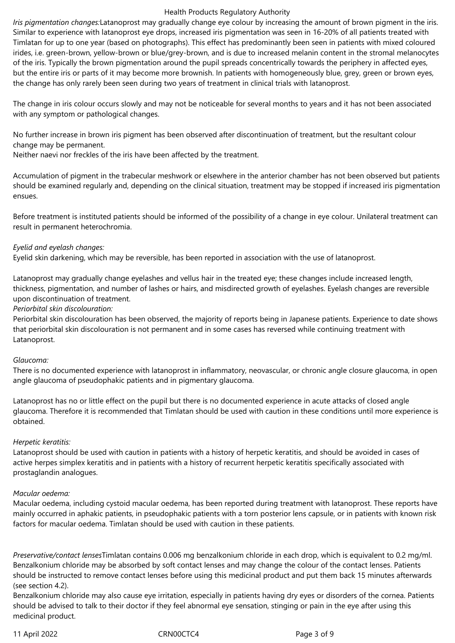*Iris pigmentation changes:*Latanoprost may gradually change eye colour by increasing the amount of brown pigment in the iris. Similar to experience with latanoprost eye drops, increased iris pigmentation was seen in 16-20% of all patients treated with Timlatan for up to one year (based on photographs). This effect has predominantly been seen in patients with mixed coloured irides, i.e. green-brown, yellow-brown or blue/grey-brown, and is due to increased melanin content in the stromal melanocytes of the iris. Typically the brown pigmentation around the pupil spreads concentrically towards the periphery in affected eyes, but the entire iris or parts of it may become more brownish. In patients with homogeneously blue, grey, green or brown eyes, the change has only rarely been seen during two years of treatment in clinical trials with latanoprost.

The change in iris colour occurs slowly and may not be noticeable for several months to years and it has not been associated with any symptom or pathological changes.

No further increase in brown iris pigment has been observed after discontinuation of treatment, but the resultant colour change may be permanent.

Neither naevi nor freckles of the iris have been affected by the treatment.

Accumulation of pigment in the trabecular meshwork or elsewhere in the anterior chamber has not been observed but patients should be examined regularly and, depending on the clinical situation, treatment may be stopped if increased iris pigmentation ensues.

Before treatment is instituted patients should be informed of the possibility of a change in eye colour. Unilateral treatment can result in permanent heterochromia.

# *Eyelid and eyelash changes:*

Eyelid skin darkening, which may be reversible, has been reported in association with the use of latanoprost.

Latanoprost may gradually change eyelashes and vellus hair in the treated eye; these changes include increased length, thickness, pigmentation, and number of lashes or hairs, and misdirected growth of eyelashes. Eyelash changes are reversible upon discontinuation of treatment.

# *Periorbital skin discolouration:*

Periorbital skin discolouration has been observed, the majority of reports being in Japanese patients. Experience to date shows that periorbital skin discolouration is not permanent and in some cases has reversed while continuing treatment with Latanoprost.

# *Glaucoma:*

There is no documented experience with latanoprost in inflammatory, neovascular, or chronic angle closure glaucoma, in open angle glaucoma of pseudophakic patients and in pigmentary glaucoma.

Latanoprost has no or little effect on the pupil but there is no documented experience in acute attacks of closed angle glaucoma. Therefore it is recommended that Timlatan should be used with caution in these conditions until more experience is obtained.

# *Herpetic keratitis:*

Latanoprost should be used with caution in patients with a history of herpetic keratitis, and should be avoided in cases of active herpes simplex keratitis and in patients with a history of recurrent herpetic keratitis specifically associated with prostaglandin analogues.

# *Macular oedema:*

Macular oedema, including cystoid macular oedema, has been reported during treatment with latanoprost. These reports have mainly occurred in aphakic patients, in pseudophakic patients with a torn posterior lens capsule, or in patients with known risk factors for macular oedema. Timlatan should be used with caution in these patients.

*Preservative/contact lenses*Timlatan contains 0.006 mg benzalkonium chloride in each drop, which is equivalent to 0.2 mg/ml. Benzalkonium chloride may be absorbed by soft contact lenses and may change the colour of the contact lenses. Patients should be instructed to remove contact lenses before using this medicinal product and put them back 15 minutes afterwards (see section 4.2).

Benzalkonium chloride may also cause eye irritation, especially in patients having dry eyes or disorders of the cornea. Patients should be advised to talk to their doctor if they feel abnormal eye sensation, stinging or pain in the eye after using this medicinal product.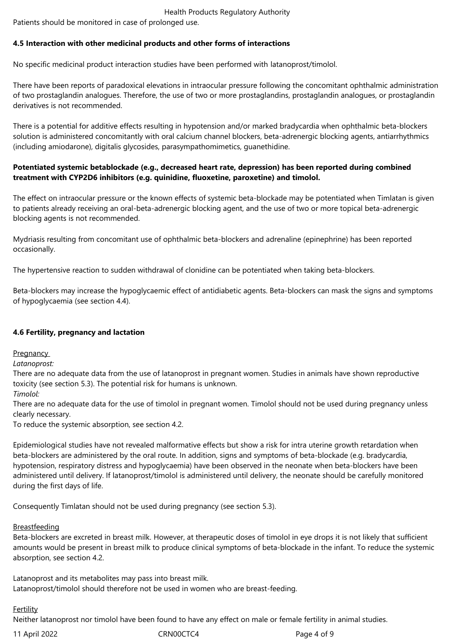Patients should be monitored in case of prolonged use.

# **4.5 Interaction with other medicinal products and other forms of interactions**

No specific medicinal product interaction studies have been performed with latanoprost/timolol.

There have been reports of paradoxical elevations in intraocular pressure following the concomitant ophthalmic administration of two prostaglandin analogues. Therefore, the use of two or more prostaglandins, prostaglandin analogues, or prostaglandin derivatives is not recommended.

There is a potential for additive effects resulting in hypotension and/or marked bradycardia when ophthalmic beta-blockers solution is administered concomitantly with oral calcium channel blockers, beta-adrenergic blocking agents, antiarrhythmics (including amiodarone), digitalis glycosides, parasympathomimetics, guanethidine.

# **Potentiated systemic betablockade (e.g., decreased heart rate, depression) has been reported during combined treatment with CYP2D6 inhibitors (e.g. quinidine, fluoxetine, paroxetine) and timolol.**

The effect on intraocular pressure or the known effects of systemic beta-blockade may be potentiated when Timlatan is given to patients already receiving an oral-beta-adrenergic blocking agent, and the use of two or more topical beta-adrenergic blocking agents is not recommended.

Mydriasis resulting from concomitant use of ophthalmic beta-blockers and adrenaline (epinephrine) has been reported occasionally.

The hypertensive reaction to sudden withdrawal of clonidine can be potentiated when taking beta-blockers.

Beta-blockers may increase the hypoglycaemic effect of antidiabetic agents. Beta-blockers can mask the signs and symptoms of hypoglycaemia (see section 4.4).

# **4.6 Fertility, pregnancy and lactation**

**Pregnancy** 

# *Latanoprost:*

There are no adequate data from the use of latanoprost in pregnant women. Studies in animals have shown reproductive toxicity (see section 5.3). The potential risk for humans is unknown.

*Timolol:*

There are no adequate data for the use of timolol in pregnant women. Timolol should not be used during pregnancy unless clearly necessary.

To reduce the systemic absorption, see section 4.2.

Epidemiological studies have not revealed malformative effects but show a risk for intra uterine growth retardation when beta-blockers are administered by the oral route. In addition, signs and symptoms of beta-blockade (e.g. bradycardia, hypotension, respiratory distress and hypoglycaemia) have been observed in the neonate when beta-blockers have been administered until delivery. If latanoprost/timolol is administered until delivery, the neonate should be carefully monitored during the first days of life.

Consequently Timlatan should not be used during pregnancy (see section 5.3).

# Breastfeeding

Beta-blockers are excreted in breast milk. However, at therapeutic doses of timolol in eye drops it is not likely that sufficient amounts would be present in breast milk to produce clinical symptoms of beta-blockade in the infant. To reduce the systemic absorption, see section 4.2.

Latanoprost and its metabolites may pass into breast milk. Latanoprost/timolol should therefore not be used in women who are breast-feeding.

# **Fertility**

Neither latanoprost nor timolol have been found to have any effect on male or female fertility in animal studies.

11 April 2022 CRN00CTC4 Page 4 of 9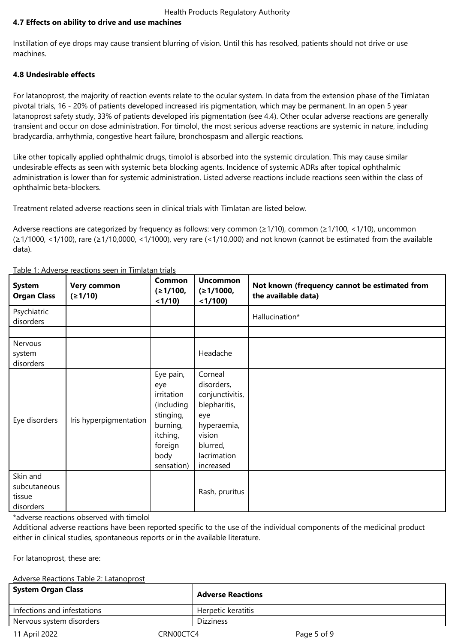# **4.7 Effects on ability to drive and use machines**

Instillation of eye drops may cause transient blurring of vision. Until this has resolved, patients should not drive or use machines.

# **4.8 Undesirable effects**

For latanoprost, the majority of reaction events relate to the ocular system. In data from the extension phase of the Timlatan pivotal trials, 16 - 20% of patients developed increased iris pigmentation, which may be permanent. In an open 5 year latanoprost safety study, 33% of patients developed iris pigmentation (see 4.4). Other ocular adverse reactions are generally transient and occur on dose administration. For timolol, the most serious adverse reactions are systemic in nature, including bradycardia, arrhythmia, congestive heart failure, bronchospasm and allergic reactions.

Like other topically applied ophthalmic drugs, timolol is absorbed into the systemic circulation. This may cause similar undesirable effects as seen with systemic beta blocking agents. Incidence of systemic ADRs after topical ophthalmic administration is lower than for systemic administration. Listed adverse reactions include reactions seen within the class of ophthalmic beta-blockers.

Treatment related adverse reactions seen in clinical trials with Timlatan are listed below.

Adverse reactions are categorized by frequency as follows: very common (≥1/10), common (≥1/100, <1/10), uncommon (≥1/1000, <1/100), rare (≥1/10,0000, <1/1000), very rare (<1/10,000) and not known (cannot be estimated from the available data).

| <b>System</b><br><b>Organ Class</b>             | Very common<br>(≥1/10) | Common<br>(≥1/100,<br>< 1/10                                                                                       | <b>Uncommon</b><br>(≥1/1000,<br>$<$ 1/100)                                                                                       | Not known (frequency cannot be estimated from<br>the available data) |
|-------------------------------------------------|------------------------|--------------------------------------------------------------------------------------------------------------------|----------------------------------------------------------------------------------------------------------------------------------|----------------------------------------------------------------------|
| Psychiatric<br>disorders                        |                        |                                                                                                                    |                                                                                                                                  | Hallucination*                                                       |
| Nervous                                         |                        |                                                                                                                    |                                                                                                                                  |                                                                      |
| system<br>disorders                             |                        |                                                                                                                    | Headache                                                                                                                         |                                                                      |
| Eye disorders                                   | Iris hyperpigmentation | Eye pain,<br>eye<br>irritation<br>(including<br>stinging,<br>burning,<br>itching,<br>foreign<br>body<br>sensation) | Corneal<br>disorders,<br>conjunctivitis,<br>blepharitis,<br>eye<br>hyperaemia,<br>vision<br>blurred,<br>lacrimation<br>increased |                                                                      |
| Skin and<br>subcutaneous<br>tissue<br>disorders |                        |                                                                                                                    | Rash, pruritus                                                                                                                   |                                                                      |

Table 1: Adverse reactions seen in Timlatan trials

\*adverse reactions observed with timolol

Additional adverse reactions have been reported specific to the use of the individual components of the medicinal product either in clinical studies, spontaneous reports or in the available literature.

For latanoprost, these are:

# Adverse Reactions Table 2: Latanoprost

| <b>System Organ Class</b>   | <b>Adverse Reactions</b> |
|-----------------------------|--------------------------|
| Infections and infestations | Herpetic keratitis       |
| Nervous system disorders    | <b>Dizziness</b>         |
|                             |                          |

11 April 2022 CRN00CTC4 Page 5 of 9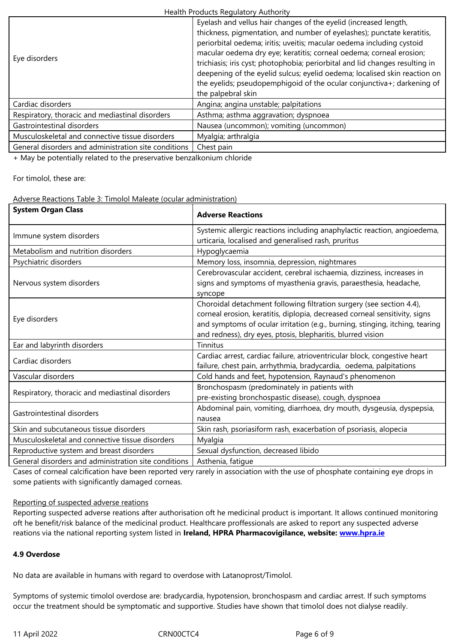| Eye disorders                                        | periorbital oedema; iritis; uveitis; macular oedema including cystoid<br>macular oedema dry eye; keratitis; corneal oedema; corneal erosion;<br>trichiasis; iris cyst; photophobia; periorbital and lid changes resulting in<br>deepening of the eyelid sulcus; eyelid oedema; localised skin reaction on<br>the eyelids; pseudopemphigoid of the ocular conjunctiva+; darkening of<br>the palpebral skin |
|------------------------------------------------------|-----------------------------------------------------------------------------------------------------------------------------------------------------------------------------------------------------------------------------------------------------------------------------------------------------------------------------------------------------------------------------------------------------------|
| Cardiac disorders                                    | Angina; angina unstable; palpitations                                                                                                                                                                                                                                                                                                                                                                     |
| Respiratory, thoracic and mediastinal disorders      | Asthma; asthma aggravation; dyspnoea                                                                                                                                                                                                                                                                                                                                                                      |
| Gastrointestinal disorders                           | Nausea (uncommon); vomiting (uncommon)                                                                                                                                                                                                                                                                                                                                                                    |
| Musculoskeletal and connective tissue disorders      | Myalgia; arthralgia                                                                                                                                                                                                                                                                                                                                                                                       |
| General disorders and administration site conditions | Chest pain                                                                                                                                                                                                                                                                                                                                                                                                |
|                                                      |                                                                                                                                                                                                                                                                                                                                                                                                           |

+ May be potentially related to the preservative benzalkonium chloride

For timolol, these are:

#### Adverse Reactions Table 3: Timolol Maleate (ocular administration)

| <b>System Organ Class</b>                            | <b>Adverse Reactions</b>                                                                                                                                                                                                                                                                          |  |
|------------------------------------------------------|---------------------------------------------------------------------------------------------------------------------------------------------------------------------------------------------------------------------------------------------------------------------------------------------------|--|
| Immune system disorders                              | Systemic allergic reactions including anaphylactic reaction, angioedema,<br>urticaria, localised and generalised rash, pruritus                                                                                                                                                                   |  |
| Metabolism and nutrition disorders                   | Hypoglycaemia                                                                                                                                                                                                                                                                                     |  |
| Psychiatric disorders                                | Memory loss, insomnia, depression, nightmares                                                                                                                                                                                                                                                     |  |
| Nervous system disorders                             | Cerebrovascular accident, cerebral ischaemia, dizziness, increases in<br>signs and symptoms of myasthenia gravis, paraesthesia, headache,<br>syncope                                                                                                                                              |  |
| Eye disorders                                        | Choroidal detachment following filtration surgery (see section 4.4),<br>corneal erosion, keratitis, diplopia, decreased corneal sensitivity, signs<br>and symptoms of ocular irritation (e.g., burning, stinging, itching, tearing<br>and redness), dry eyes, ptosis, blepharitis, blurred vision |  |
| Ear and labyrinth disorders                          | Tinnitus                                                                                                                                                                                                                                                                                          |  |
| Cardiac disorders                                    | Cardiac arrest, cardiac failure, atrioventricular block, congestive heart<br>failure, chest pain, arrhythmia, bradycardia, oedema, palpitations                                                                                                                                                   |  |
| Vascular disorders                                   | Cold hands and feet, hypotension, Raynaud's phenomenon                                                                                                                                                                                                                                            |  |
| Respiratory, thoracic and mediastinal disorders      | Bronchospasm (predominately in patients with<br>pre-existing bronchospastic disease), cough, dyspnoea                                                                                                                                                                                             |  |
| Gastrointestinal disorders                           | Abdominal pain, vomiting, diarrhoea, dry mouth, dysgeusia, dyspepsia,<br>nausea                                                                                                                                                                                                                   |  |
| Skin and subcutaneous tissue disorders               | Skin rash, psoriasiform rash, exacerbation of psoriasis, alopecia                                                                                                                                                                                                                                 |  |
| Musculoskeletal and connective tissue disorders      | Myalgia                                                                                                                                                                                                                                                                                           |  |
| Reproductive system and breast disorders             | Sexual dysfunction, decreased libido                                                                                                                                                                                                                                                              |  |
| General disorders and administration site conditions | Asthenia, fatique                                                                                                                                                                                                                                                                                 |  |

Cases of corneal calcification have been reported very rarely in association with the use of phosphate containing eye drops in some patients with significantly damaged corneas.

#### Reporting of suspected adverse reations

Reporting suspected adverse reations after authorisation oft he medicinal product is important. It allows continued monitoring oft he benefit/risk balance of the medicinal product. Healthcare proffessionals are asked to report any suspected adverse reations via the national reporting system listed in **Ireland, HPRA Pharmacovigilance, website: www.hpra.ie**

# **4.9 Overdose**

No data are available in humans with regard to overdose with Latanoprost/Timolol.

Symptoms of systemic timolol overdose are: bradycardia, hypotension, bronchospasm and cardiac arrest. If such symptoms occur the treatment should be symptomatic and supportive. Studies have shown that timolol does not dialyse readily*.*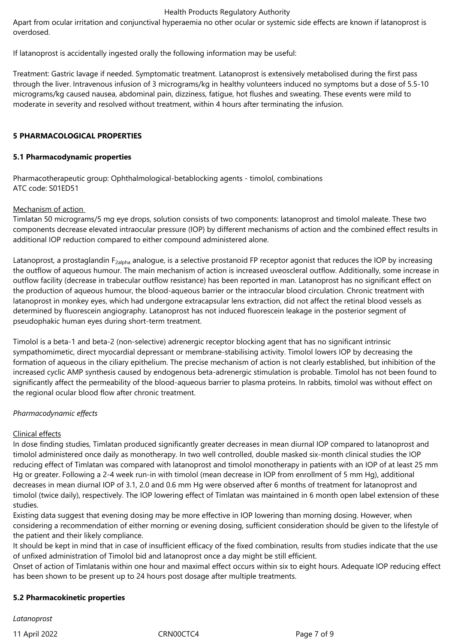Apart from ocular irritation and conjunctival hyperaemia no other ocular or systemic side effects are known if latanoprost is overdosed.

If latanoprost is accidentally ingested orally the following information may be useful:

Treatment: Gastric lavage if needed. Symptomatic treatment. Latanoprost is extensively metabolised during the first pass through the liver. Intravenous infusion of 3 micrograms/kg in healthy volunteers induced no symptoms but a dose of 5.5-10 micrograms/kg caused nausea, abdominal pain, dizziness, fatigue, hot flushes and sweating. These events were mild to moderate in severity and resolved without treatment, within 4 hours after terminating the infusion.

# **5 PHARMACOLOGICAL PROPERTIES**

# **5.1 Pharmacodynamic properties**

Pharmacotherapeutic group: Ophthalmological-betablocking agents - timolol, combinations ATC code: S01ED51

# Mechanism of action

Timlatan 50 micrograms/5 mg eye drops, solution consists of two components: latanoprost and timolol maleate. These two components decrease elevated intraocular pressure (IOP) by different mechanisms of action and the combined effect results in additional IOP reduction compared to either compound administered alone.

Latanoprost, a prostaglandin F<sub>2alpha</sub> analogue, is a selective prostanoid FP receptor agonist that reduces the IOP by increasing the outflow of aqueous humour. The main mechanism of action is increased uveoscleral outflow. Additionally, some increase in outflow facility (decrease in trabecular outflow resistance) has been reported in man. Latanoprost has no significant effect on the production of aqueous humour, the blood-aqueous barrier or the intraocular blood circulation. Chronic treatment with latanoprost in monkey eyes, which had undergone extracapsular lens extraction, did not affect the retinal blood vessels as determined by fluorescein angiography. Latanoprost has not induced fluorescein leakage in the posterior segment of pseudophakic human eyes during short-term treatment.

Timolol is a beta-1 and beta-2 (non-selective) adrenergic receptor blocking agent that has no significant intrinsic sympathomimetic, direct myocardial depressant or membrane-stabilising activity. Timolol lowers IOP by decreasing the formation of aqueous in the ciliary epithelium. The precise mechanism of action is not clearly established, but inhibition of the increased cyclic AMP synthesis caused by endogenous beta-adrenergic stimulation is probable. Timolol has not been found to significantly affect the permeability of the blood-aqueous barrier to plasma proteins. In rabbits, timolol was without effect on the regional ocular blood flow after chronic treatment.

# *Pharmacodynamic effects*

# Clinical effects

In dose finding studies, Timlatan produced significantly greater decreases in mean diurnal IOP compared to latanoprost and timolol administered once daily as monotherapy. In two well controlled, double masked six-month clinical studies the IOP reducing effect of Timlatan was compared with latanoprost and timolol monotherapy in patients with an IOP of at least 25 mm Hg or greater. Following a 2-4 week run-in with timolol (mean decrease in IOP from enrollment of 5 mm Hg), additional decreases in mean diurnal IOP of 3.1, 2.0 and 0.6 mm Hg were observed after 6 months of treatment for latanoprost and timolol (twice daily), respectively. The IOP lowering effect of Timlatan was maintained in 6 month open label extension of these studies.

Existing data suggest that evening dosing may be more effective in IOP lowering than morning dosing. However, when considering a recommendation of either morning or evening dosing, sufficient consideration should be given to the lifestyle of the patient and their likely compliance.

It should be kept in mind that in case of insufficient efficacy of the fixed combination, results from studies indicate that the use of unfixed administration of Timolol bid and latanoprost once a day might be still efficient.

Onset of action of Timlatanis within one hour and maximal effect occurs within six to eight hours. Adequate IOP reducing effect has been shown to be present up to 24 hours post dosage after multiple treatments.

# **5.2 Pharmacokinetic properties**

*Latanoprost* 

11 April 2022 CRN00CTC4 Page 7 of 9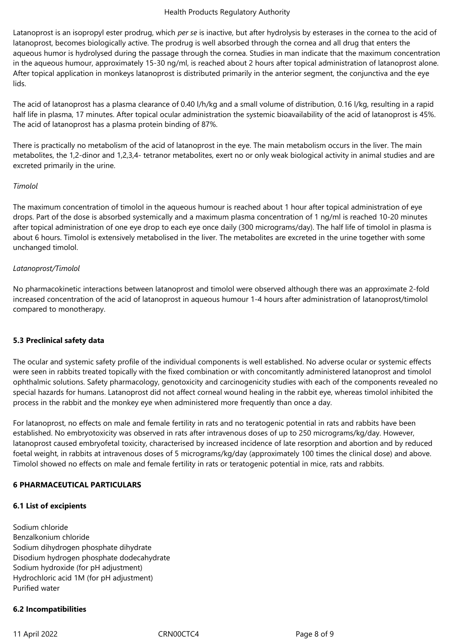Latanoprost is an isopropyl ester prodrug, which *per se* is inactive, but after hydrolysis by esterases in the cornea to the acid of latanoprost, becomes biologically active. The prodrug is well absorbed through the cornea and all drug that enters the aqueous humor is hydrolysed during the passage through the cornea. Studies in man indicate that the maximum concentration in the aqueous humour, approximately 15-30 ng/ml, is reached about 2 hours after topical administration of latanoprost alone. After topical application in monkeys latanoprost is distributed primarily in the anterior segment, the conjunctiva and the eye lids.

The acid of latanoprost has a plasma clearance of 0.40 l/h/kg and a small volume of distribution, 0.16 l/kg, resulting in a rapid half life in plasma, 17 minutes. After topical ocular administration the systemic bioavailability of the acid of latanoprost is 45%. The acid of latanoprost has a plasma protein binding of 87%.

There is practically no metabolism of the acid of latanoprost in the eye. The main metabolism occurs in the liver. The main metabolites, the 1,2-dinor and 1,2,3,4- tetranor metabolites, exert no or only weak biological activity in animal studies and are excreted primarily in the urine.

# *Timolol*

The maximum concentration of timolol in the aqueous humour is reached about 1 hour after topical administration of eye drops. Part of the dose is absorbed systemically and a maximum plasma concentration of 1 ng/ml is reached 10-20 minutes after topical administration of one eye drop to each eye once daily (300 micrograms/day). The half life of timolol in plasma is about 6 hours. Timolol is extensively metabolised in the liver. The metabolites are excreted in the urine together with some unchanged timolol.

# *Latanoprost/Timolol*

No pharmacokinetic interactions between latanoprost and timolol were observed although there was an approximate 2-fold increased concentration of the acid of latanoprost in aqueous humour 1-4 hours after administration of latanoprost/timolol compared to monotherapy.

# **5.3 Preclinical safety data**

The ocular and systemic safety profile of the individual components is well established. No adverse ocular or systemic effects were seen in rabbits treated topically with the fixed combination or with concomitantly administered latanoprost and timolol ophthalmic solutions. Safety pharmacology, genotoxicity and carcinogenicity studies with each of the components revealed no special hazards for humans. Latanoprost did not affect corneal wound healing in the rabbit eye, whereas timolol inhibited the process in the rabbit and the monkey eye when administered more frequently than once a day.

For latanoprost, no effects on male and female fertility in rats and no teratogenic potential in rats and rabbits have been established. No embryotoxicity was observed in rats after intravenous doses of up to 250 micrograms/kg/day. However, latanoprost caused embryofetal toxicity, characterised by increased incidence of late resorption and abortion and by reduced foetal weight, in rabbits at intravenous doses of 5 micrograms/kg/day (approximately 100 times the clinical dose) and above. Timolol showed no effects on male and female fertility in rats or teratogenic potential in mice, rats and rabbits.

# **6 PHARMACEUTICAL PARTICULARS**

# **6.1 List of excipients**

Sodium chloride Benzalkonium chloride Sodium dihydrogen phosphate dihydrate Disodium hydrogen phosphate dodecahydrate Sodium hydroxide (for pH adjustment) Hydrochloric acid 1M (for pH adjustment) Purified water

# **6.2 Incompatibilities**